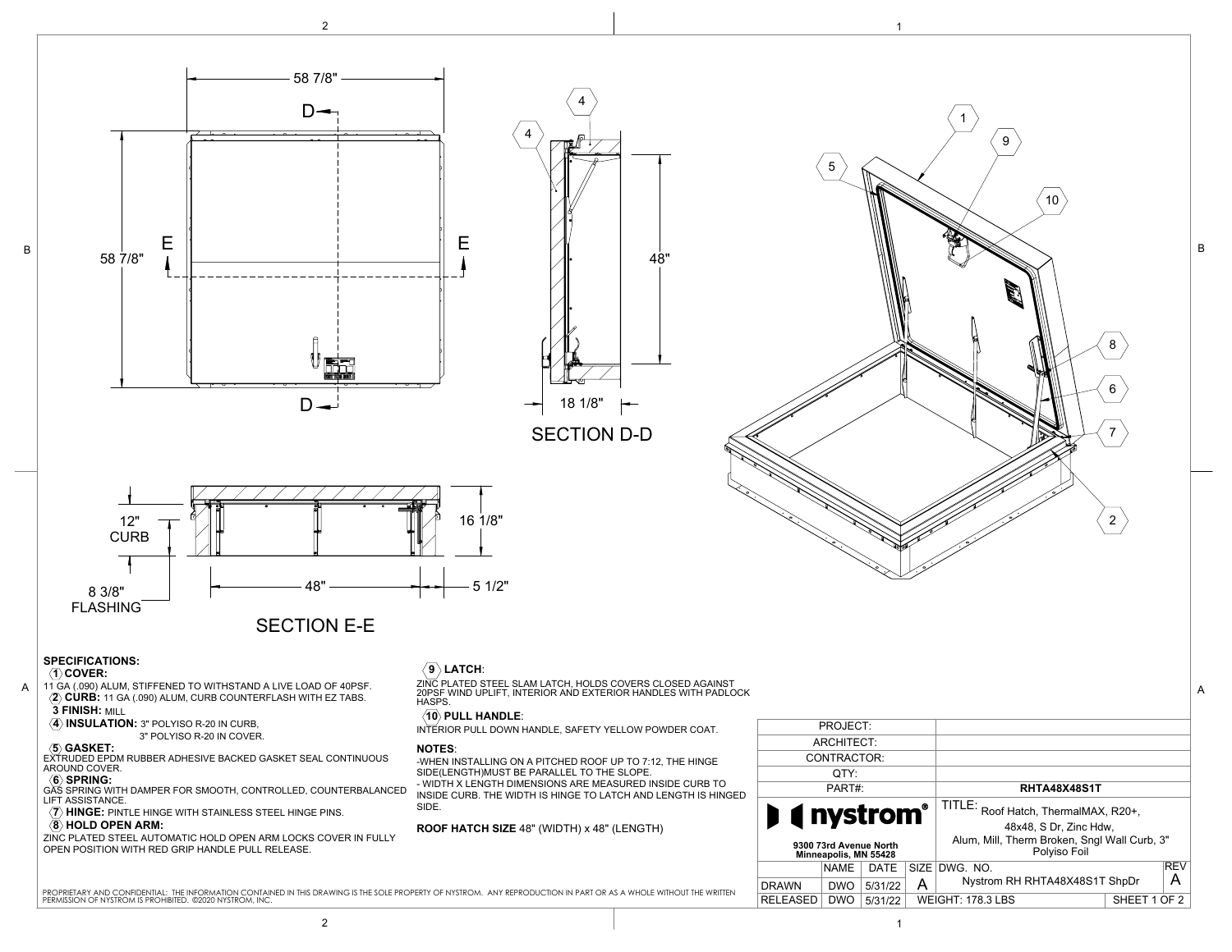





SECTION D-D



# **SPECIFICATIONS:**

# **1 COVER:**

B

- 11 GA (.090) ALUM, STIFFENED TO WITHSTAND A LIVE LOAD OF 40PSF. **2 CURB:** 11 GA (.090) ALUM, CURB COUNTERFLASH WITH EZ TABS.  **3 FINISH:** MILL A 11 GA (.090) ALUM, STIFFENED TO WITHSTAND A LIVE LOAD OF 40PSF. ZINC PLATED STEEL SLAM LATCH, HOLDS COVERS CLOSED AGAINST<br>20PS CUPR: 11 CA (.000) ALUM CUPR COUNTERELASH WITH EZ TARS 20PSF WIND UPLIFT, INTERIOR AND EXTERI
	- $\langle \overline{4} \rangle$  **INSULATION:** 3" POLYISO R-20 IN CURB,
	- 3" POLYISO R-20 IN COVER.

# **5 GASKET:**

EXTRUDED EPDM RUBBER ADHESIVE BACKED GASKET SEAL CONTINUOUS AROUND COVER.

- **〈6〉 SPRING:**<br>GAS SPRING WITH DAMPER FOR SMOOTH, CONTROLLED, COUNTERBALANCED\_ LIFT ASSISTANCE.  **7 HINGE:** PINTLE HINGE WITH STAINLESS STEEL HINGE PINS.
- $\langle \overline{8} \rangle$  HOLD OPEN ARM:

ZINC PLATED STEEL AUTOMATIC HOLD OPEN ARM LOCKS COVER IN FULLY OPEN POSITION WITH RED GRIP HANDLE PULL RELEASE.

# $\langle$ 9 $\rangle$ LATCH:



### **10 PULL HANDLE**:

INTERIOR PULL DOWN HANDLE, SAFETY YELLOW POWDER COAT.

### **NOTES**:

-WHEN INSTALLING ON A PITCHED ROOF UP TO 7:12, THE HINGE SIDE(LENGTH)MUST BE PARALLEL TO THE SLOPE.

- WIDTH X LENGTH DIMENSIONS ARE MEASURED INSIDE CURB TO INSIDE CURB. THE WIDTH IS HINGE TO LATCH AND LENGTH IS HINGED SIDE.

### **ROOF HATCH SIZE** 48" (WIDTH) x 48" (LENGTH)



 $\mathfrak{p}$ 

6

7

8

B

1

9

10

5